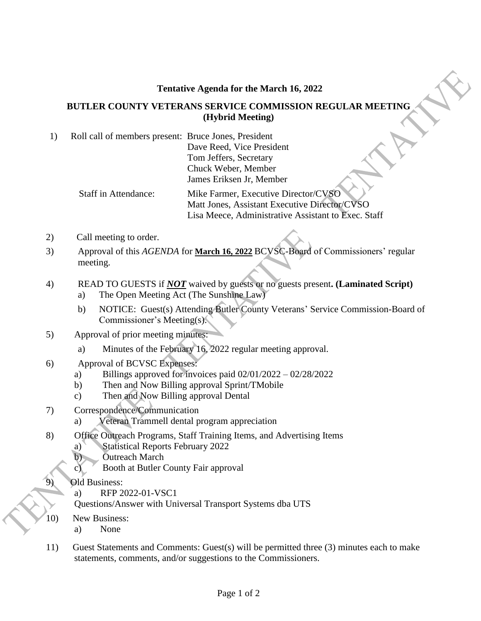## **Tentative Agenda for the March 16, 2022**

## **BUTLER COUNTY VETERANS SERVICE COMMISSION REGULAR MEETING (Hybrid Meeting)**

- 1) Roll call of members present: Bruce Jones, President Dave Reed, Vice President Tom Jeffers, Secretary Chuck Weber, Member James Eriksen Jr, Member Staff in Attendance: Mike Farmer, Executive Director/CVSO Matt Jones, Assistant Executive Director/CVSO
	- Lisa Meece, Administrative Assistant to Exec. Staff
- 2) Call meeting to order.
- 3) Approval of this *AGENDA* for **March 16, 2022** BCVSC-Board of Commissioners' regular meeting.
- 4) READ TO GUESTS if *NOT* waived by guests or no guests present**. (Laminated Script)**
	- a) The Open Meeting Act (The Sunshine Law)
	- b) NOTICE: Guest(s) Attending Butler County Veterans' Service Commission-Board of Commissioner's Meeting(s).
- 5) Approval of prior meeting minutes:
	- a) Minutes of the February 16, 2022 regular meeting approval.
- 6) Approval of BCVSC Expenses:
	- a) Billings approved for invoices paid  $02/01/2022 02/28/2022$
	- b) Then and Now Billing approval Sprint/TMobile
	- c) Then and Now Billing approval Dental
- 7) Correspondence/Communication
	- a) Veteran Trammell dental program appreciation
- 8) Office Outreach Programs, Staff Training Items, and Advertising Items
	- a) Statistical Reports February 2022
	- b) Outreach March
	- c) Booth at Butler County Fair approval
	- **Old Business:** 
		- a) RFP 2022-01-VSC1
		- Questions/Answer with Universal Transport Systems dba UTS
- 10) New Business:

 $\overline{a}$ 

- a) None
- 11) Guest Statements and Comments: Guest(s) will be permitted three (3) minutes each to make statements, comments, and/or suggestions to the Commissioners.